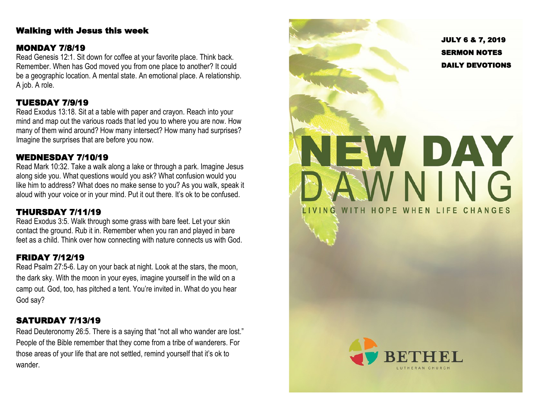#### Walking with Jesus this week

### MONDAY 7/8/19

Read Genesis 12:1. Sit down for coffee at your favorite place. Think back. Remember. When has God moved you from one place to another? It could be a geographic location. A mental state. An emotional place. A relationship. A job. A role.

## TUESDAY 7/9/19

Read Exodus 13:18. Sit at a table with paper and crayon. Reach into your mind and map out the various roads that led you to where you are now. How many of them wind around? How many intersect? How many had surprises? Imagine the surprises that are before you now.

# WEDNESDAY 7/10/19

Read Mark 10:32. Take a walk along a lake or through a park. Imagine Jesus along side you. What questions would you ask? What confusion would you like him to address? What does no make sense to you? As you walk, speak it aloud with your voice or in your mind. Put it out there. It's ok to be confused.

# THURSDAY 7/11/19

Read Exodus 3:5. Walk through some grass with bare feet. Let your skin contact the ground. Rub it in. Remember when you ran and played in bare feet as a child. Think over how connecting with nature connects us with God.

# FRIDAY 7/12/19

Read Psalm 27:5 -6. Lay on your back at night. Look at the stars, the moon, the dark sky. With the moon in your eyes, imagine yourself in the wild on a camp out. God, too, has pitched a tent. You're invited in. What do you hear God say?

## SATURDAY 7/13/19

Read Deuteronomy 26:5. There is a saying that "not all who wander are lost." People of the Bible remember that they come from a tribe of wanderers. For those areas of your life that are not settled, remind yourself that it's ok to wander.

JULY 6 & 7, 2019 SERMON NOTES DAILY DEVOTIONS NEW DAY WNING LIVING WITH HOPE WHEN LIFE CHANGES